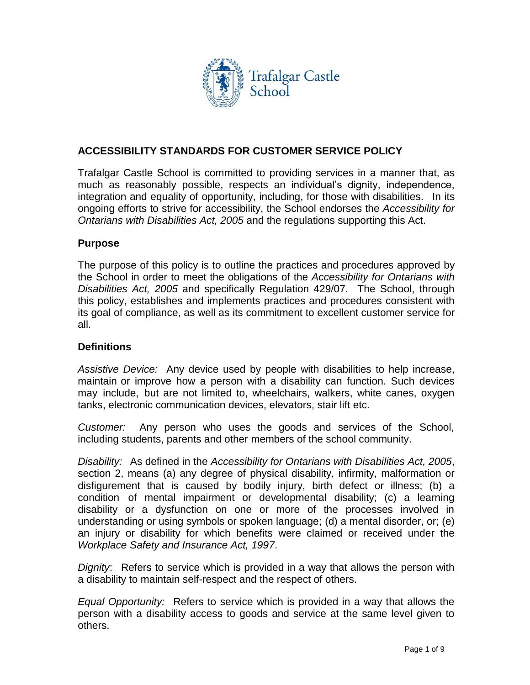

# **ACCESSIBILITY STANDARDS FOR CUSTOMER SERVICE POLICY**

Trafalgar Castle School is committed to providing services in a manner that, as much as reasonably possible, respects an individual's dignity, independence, integration and equality of opportunity, including, for those with disabilities. In its ongoing efforts to strive for accessibility, the School endorses the *Accessibility for Ontarians with Disabilities Act, 2005* and the regulations supporting this Act.

## **Purpose**

The purpose of this policy is to outline the practices and procedures approved by the School in order to meet the obligations of the *Accessibility for Ontarians with Disabilities Act, 2005* and specifically Regulation 429/07. The School, through this policy, establishes and implements practices and procedures consistent with its goal of compliance, as well as its commitment to excellent customer service for all.

### **Definitions**

*Assistive Device:* Any device used by people with disabilities to help increase, maintain or improve how a person with a disability can function. Such devices may include, but are not limited to, wheelchairs, walkers, white canes, oxygen tanks, electronic communication devices, elevators, stair lift etc.

*Customer:* Any person who uses the goods and services of the School, including students, parents and other members of the school community.

*Disability:* As defined in the *Accessibility for Ontarians with Disabilities Act, 2005*, section 2, means (a) any degree of physical disability, infirmity, malformation or disfigurement that is caused by bodily injury, birth defect or illness; (b) a condition of mental impairment or developmental disability; (c) a learning disability or a dysfunction on one or more of the processes involved in understanding or using symbols or spoken language; (d) a mental disorder, or; (e) an injury or disability for which benefits were claimed or received under the *Workplace Safety and Insurance Act, 1997*.

*Dignity*: Refers to service which is provided in a way that allows the person with a disability to maintain self-respect and the respect of others.

*Equal Opportunity:* Refers to service which is provided in a way that allows the person with a disability access to goods and service at the same level given to others.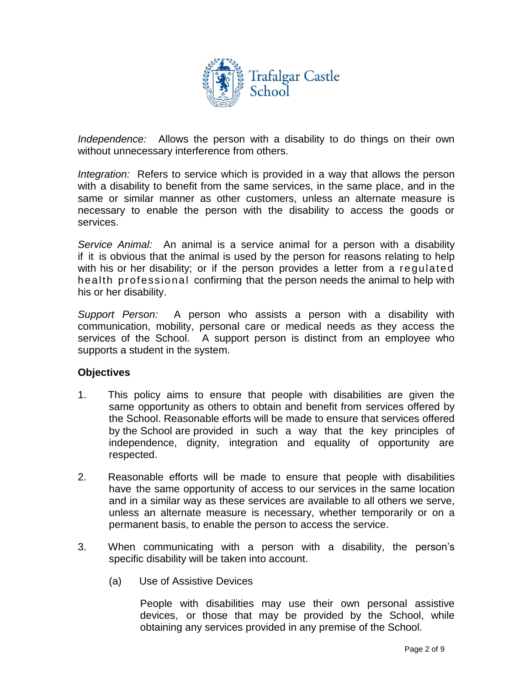

*Independence:* Allows the person with a disability to do things on their own without unnecessary interference from others.

*Integration:* Refers to service which is provided in a way that allows the person with a disability to benefit from the same services, in the same place, and in the same or similar manner as other customers, unless an alternate measure is necessary to enable the person with the disability to access the goods or services.

*Service Animal:* An animal is a service animal for a person with a disability if it is obvious that the animal is used by the person for reasons relating to help with his or her disability; or if the person provides a letter from a regulated health professional confirming that the person needs the animal to help with his or her disability.

*Support Person:* A person who assists a person with a disability with communication, mobility, personal care or medical needs as they access the services of the School. A support person is distinct from an employee who supports a student in the system.

### **Objectives**

- 1. This policy aims to ensure that people with disabilities are given the same opportunity as others to obtain and benefit from services offered by the School. Reasonable efforts will be made to ensure that services offered by the School are provided in such a way that the key principles of independence, dignity, integration and equality of opportunity are respected.
- 2. Reasonable efforts will be made to ensure that people with disabilities have the same opportunity of access to our services in the same location and in a similar way as these services are available to all others we serve, unless an alternate measure is necessary, whether temporarily or on a permanent basis, to enable the person to access the service.
- 3. When communicating with a person with a disability, the person's specific disability will be taken into account.
	- (a) Use of Assistive Devices

People with disabilities may use their own personal assistive devices, or those that may be provided by the School, while obtaining any services provided in any premise of the School.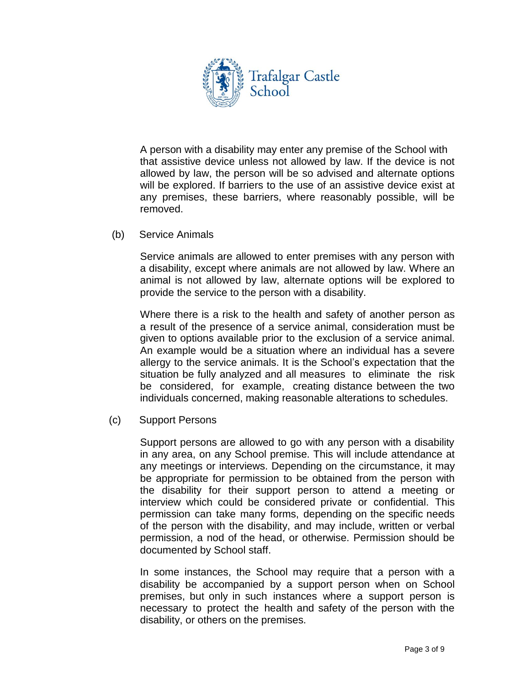

A person with a disability may enter any premise of the School with that assistive device unless not allowed by law. If the device is not allowed by law, the person will be so advised and alternate options will be explored. If barriers to the use of an assistive device exist at any premises, these barriers, where reasonably possible, will be removed.

(b) Service Animals

Service animals are allowed to enter premises with any person with a disability, except where animals are not allowed by law. Where an animal is not allowed by law, alternate options will be explored to provide the service to the person with a disability.

Where there is a risk to the health and safety of another person as a result of the presence of a service animal, consideration must be given to options available prior to the exclusion of a service animal. An example would be a situation where an individual has a severe allergy to the service animals. It is the School's expectation that the situation be fully analyzed and all measures to eliminate the risk be considered, for example, creating distance between the two individuals concerned, making reasonable alterations to schedules.

(c) Support Persons

Support persons are allowed to go with any person with a disability in any area, on any School premise. This will include attendance at any meetings or interviews. Depending on the circumstance, it may be appropriate for permission to be obtained from the person with the disability for their support person to attend a meeting or interview which could be considered private or confidential. This permission can take many forms, depending on the specific needs of the person with the disability, and may include, written or verbal permission, a nod of the head, or otherwise. Permission should be documented by School staff.

In some instances, the School may require that a person with a disability be accompanied by a support person when on School premises, but only in such instances where a support person is necessary to protect the health and safety of the person with the disability, or others on the premises.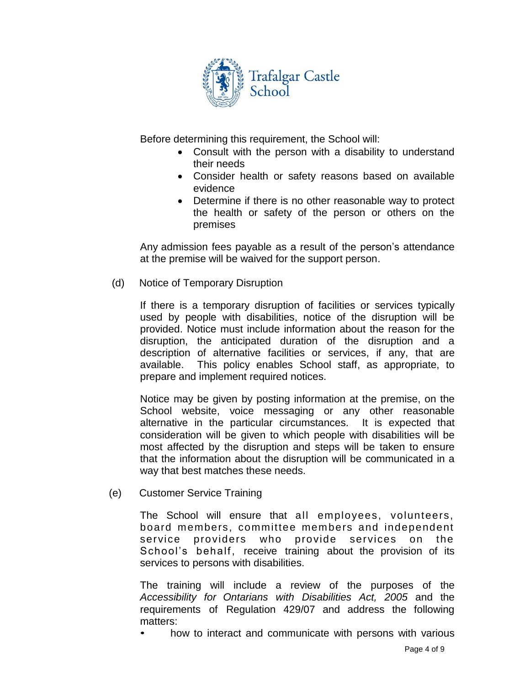

Before determining this requirement, the School will:

- Consult with the person with a disability to understand their needs
- Consider health or safety reasons based on available evidence
- Determine if there is no other reasonable way to protect the health or safety of the person or others on the premises

Any admission fees payable as a result of the person's attendance at the premise will be waived for the support person.

(d) Notice of Temporary Disruption

If there is a temporary disruption of facilities or services typically used by people with disabilities, notice of the disruption will be provided. Notice must include information about the reason for the disruption, the anticipated duration of the disruption and a description of alternative facilities or services, if any, that are available. This policy enables School staff, as appropriate, to prepare and implement required notices.

Notice may be given by posting information at the premise, on the School website, voice messaging or any other reasonable alternative in the particular circumstances. It is expected that consideration will be given to which people with disabilities will be most affected by the disruption and steps will be taken to ensure that the information about the disruption will be communicated in a way that best matches these needs.

(e) Customer Service Training

The School will ensure that all employees, volunteers, board members, committee members and independent service providers who provide services on the School's behalf, receive training about the provision of its services to persons with disabilities.

The training will include a review of the purposes of the *Accessibility for Ontarians with Disabilities Act, 2005* and the requirements of Regulation 429/07 and address the following matters:

how to interact and communicate with persons with various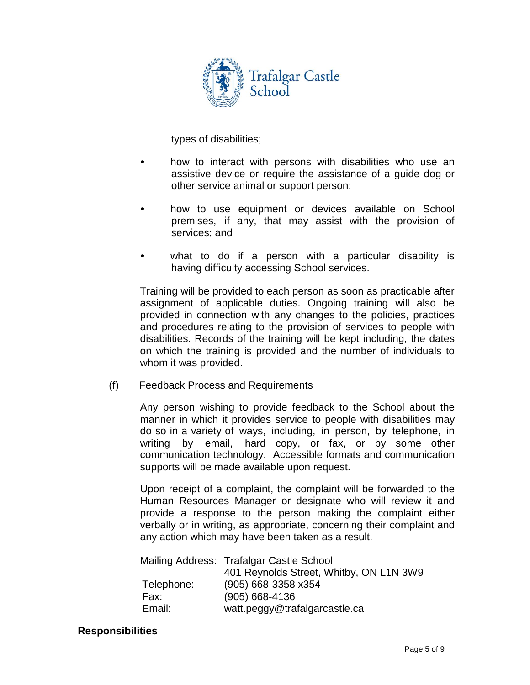

types of disabilities;

- how to interact with persons with disabilities who use an assistive device or require the assistance of a guide dog or other service animal or support person;
- how to use equipment or devices available on School premises, if any, that may assist with the provision of services; and
- what to do if a person with a particular disability is having difficulty accessing School services.

Training will be provided to each person as soon as practicable after assignment of applicable duties. Ongoing training will also be provided in connection with any changes to the policies, practices and procedures relating to the provision of services to people with disabilities. Records of the training will be kept including, the dates on which the training is provided and the number of individuals to whom it was provided.

(f) Feedback Process and Requirements

Any person wishing to provide feedback to the School about the manner in which it provides service to people with disabilities may do so in a variety of ways, including, in person, by telephone, in writing by email, hard copy, or fax, or by some other communication technology. Accessible formats and communication supports will be made available upon request.

Upon receipt of a complaint, the complaint will be forwarded to the Human Resources Manager or designate who will review it and provide a response to the person making the complaint either verbally or in writing, as appropriate, concerning their complaint and any action which may have been taken as a result.

|            | Mailing Address: Trafalgar Castle School |
|------------|------------------------------------------|
|            | 401 Reynolds Street, Whitby, ON L1N 3W9  |
| Telephone: | (905) 668-3358 x354                      |
| Fax:       | $(905) 668 - 4136$                       |
| Email:     | watt.peggy@trafalgarcastle.ca            |

#### **Responsibilities**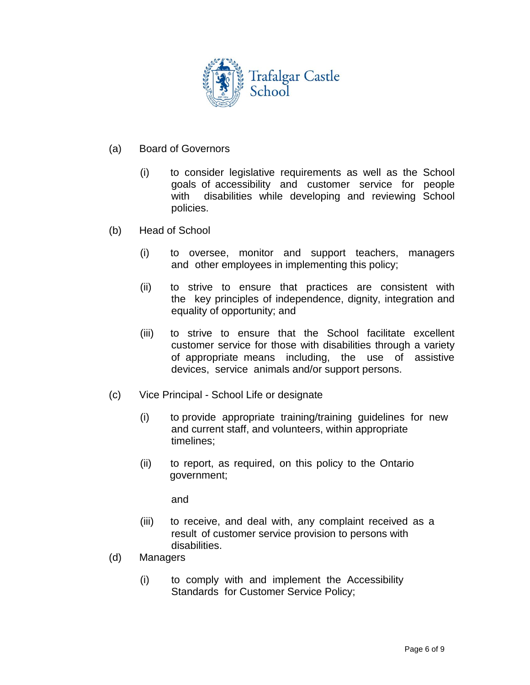

- (a) Board of Governors
	- (i) to consider legislative requirements as well as the School goals of accessibility and customer service for people with disabilities while developing and reviewing School policies.
- (b) Head of School
	- (i) to oversee, monitor and support teachers, managers and other employees in implementing this policy;
	- (ii) to strive to ensure that practices are consistent with the key principles of independence, dignity, integration and equality of opportunity; and
	- (iii) to strive to ensure that the School facilitate excellent customer service for those with disabilities through a variety of appropriate means including, the use of assistive devices, service animals and/or support persons.
- (c) Vice Principal School Life or designate
	- (i) to provide appropriate training/training guidelines for new and current staff, and volunteers, within appropriate timelines;
	- (ii) to report, as required, on this policy to the Ontario government;

and

- (iii) to receive, and deal with, any complaint received as a result of customer service provision to persons with disabilities.
- (d) Managers
	- (i) to comply with and implement the Accessibility Standards for Customer Service Policy;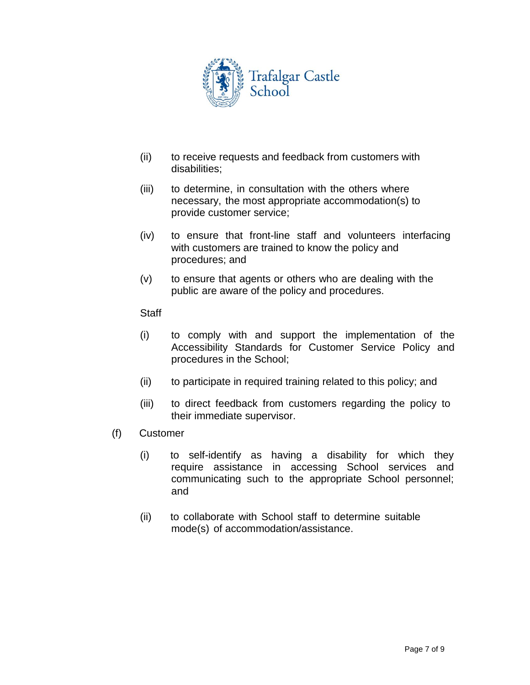

- (ii) to receive requests and feedback from customers with disabilities;
- (iii) to determine, in consultation with the others where necessary, the most appropriate accommodation(s) to provide customer service;
- (iv) to ensure that front-line staff and volunteers interfacing with customers are trained to know the policy and procedures; and
- (v) to ensure that agents or others who are dealing with the public are aware of the policy and procedures.

### **Staff**

- (i) to comply with and support the implementation of the Accessibility Standards for Customer Service Policy and procedures in the School;
- (ii) to participate in required training related to this policy; and
- (iii) to direct feedback from customers regarding the policy to their immediate supervisor.
- (f) Customer
	- (i) to self-identify as having a disability for which they require assistance in accessing School services and communicating such to the appropriate School personnel; and
	- (ii) to collaborate with School staff to determine suitable mode(s) of accommodation/assistance.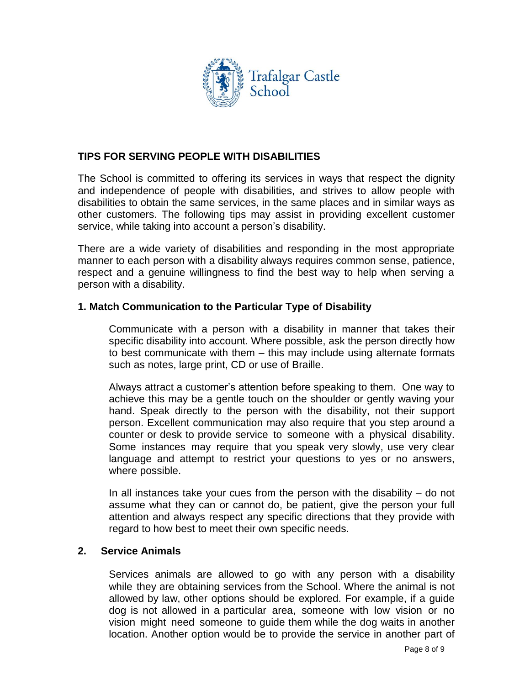

## **TIPS FOR SERVING PEOPLE WITH DISABILITIES**

The School is committed to offering its services in ways that respect the dignity and independence of people with disabilities, and strives to allow people with disabilities to obtain the same services, in the same places and in similar ways as other customers. The following tips may assist in providing excellent customer service, while taking into account a person's disability.

There are a wide variety of disabilities and responding in the most appropriate manner to each person with a disability always requires common sense, patience, respect and a genuine willingness to find the best way to help when serving a person with a disability.

### **1. Match Communication to the Particular Type of Disability**

Communicate with a person with a disability in manner that takes their specific disability into account. Where possible, ask the person directly how to best communicate with them – this may include using alternate formats such as notes, large print, CD or use of Braille.

Always attract a customer's attention before speaking to them. One way to achieve this may be a gentle touch on the shoulder or gently waving your hand. Speak directly to the person with the disability, not their support person. Excellent communication may also require that you step around a counter or desk to provide service to someone with a physical disability. Some instances may require that you speak very slowly, use very clear language and attempt to restrict your questions to yes or no answers, where possible.

In all instances take your cues from the person with the disability – do not assume what they can or cannot do, be patient, give the person your full attention and always respect any specific directions that they provide with regard to how best to meet their own specific needs.

### **2. Service Animals**

Services animals are allowed to go with any person with a disability while they are obtaining services from the School. Where the animal is not allowed by law, other options should be explored. For example, if a guide dog is not allowed in a particular area, someone with low vision or no vision might need someone to guide them while the dog waits in another location. Another option would be to provide the service in another part of